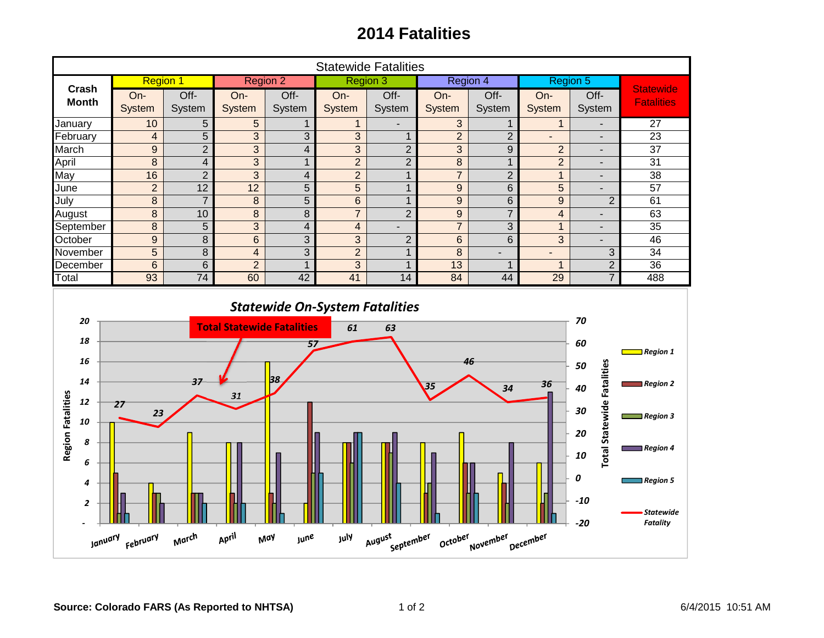## **2014 Fatalities**

| <b>Statewide Fatalities</b>                                                                                                           |                                                                                                              |                         |                 |                         |                |                |                |                          |                           |                                                                |                                       |
|---------------------------------------------------------------------------------------------------------------------------------------|--------------------------------------------------------------------------------------------------------------|-------------------------|-----------------|-------------------------|----------------|----------------|----------------|--------------------------|---------------------------|----------------------------------------------------------------|---------------------------------------|
| Crash                                                                                                                                 | <b>Region 1</b>                                                                                              |                         | <b>Region 2</b> |                         | Region 3       |                | Region 4       |                          | Region 5                  |                                                                |                                       |
| <b>Month</b>                                                                                                                          | On-                                                                                                          | Off-                    | On-             | Off-                    | On-            | Off-           | On-            | Off-                     | On-                       | Off-                                                           | <b>Statewide</b><br><b>Fatalities</b> |
|                                                                                                                                       | System                                                                                                       | System                  | System          | System                  | System         | System         | System         | System                   | System                    | System                                                         |                                       |
| January                                                                                                                               | 10                                                                                                           | 5                       | 5               | $\mathbf{1}$            | $\mathbf{1}$   |                | 3              | 1                        | $\mathbf 1$               |                                                                | 27                                    |
| February                                                                                                                              | $\overline{4}$                                                                                               | 5                       | 3               | 3                       | 3              | $\mathbf{1}$   | $\overline{2}$ | $\overline{2}$           | $\overline{\phantom{a}}$  | $\overline{\phantom{a}}$                                       | 23                                    |
| March                                                                                                                                 | 9                                                                                                            | $\overline{2}$          | 3               | $\overline{4}$          | 3              | $\overline{2}$ | $\overline{3}$ | $\mathsf 9$              | $\overline{2}$            | $\overline{\phantom{a}}$                                       | 37                                    |
| April                                                                                                                                 | $\,8\,$                                                                                                      | $\overline{\mathbf{4}}$ | 3               | $\mathbf{1}$            | $\overline{2}$ | $\overline{2}$ | 8              | $\mathbf{1}$             | $\overline{2}$            | $\overline{\phantom{a}}$                                       | 31                                    |
| May                                                                                                                                   | 16                                                                                                           | $\overline{2}$          | 3               | $\overline{\mathbf{4}}$ | $\overline{2}$ | $\mathbf{1}$   | $\overline{7}$ | $\overline{2}$           | $\overline{1}$            | $\overline{\phantom{a}}$                                       | $\overline{38}$                       |
| June                                                                                                                                  | $\overline{2}$                                                                                               | 12                      | $\overline{12}$ | 5                       | 5              | $\mathbf{1}$   | 9              | 6                        | 5                         |                                                                | $\overline{57}$                       |
| July                                                                                                                                  | 8                                                                                                            | $\overline{7}$          | $\bf 8$         | 5                       | $6\phantom{a}$ | $\mathbf{1}$   | 9              | 6                        | $\boldsymbol{9}$          | $\overline{2}$                                                 | 61                                    |
| August                                                                                                                                | 8                                                                                                            | 10                      | $\bf 8$         | 8                       | $\overline{7}$ | $\overline{2}$ | 9              | $\overline{7}$           | $\overline{\mathbf{4}}$   | ٥                                                              | 63                                    |
| September                                                                                                                             | $\overline{8}$                                                                                               | $\overline{5}$          | $\overline{3}$  | $\overline{4}$          | $\overline{4}$ | $\overline{a}$ | $\overline{7}$ | $\overline{3}$           | $\mathbf{1}$              | $\overline{a}$                                                 | $\overline{35}$                       |
| October                                                                                                                               | 9                                                                                                            | $\,8\,$                 | $6\phantom{1}$  | 3                       | 3              | $\overline{2}$ | $6\phantom{1}$ | 6                        | 3                         | $\blacksquare$                                                 | 46                                    |
| November                                                                                                                              | $\overline{5}$                                                                                               | $\,8\,$                 | $\overline{4}$  | $\overline{3}$          | $\overline{2}$ | $\mathbf{1}$   | 8              | $\overline{\phantom{a}}$ | $\blacksquare$            | 3                                                              | 34                                    |
| December                                                                                                                              | $\overline{6}$                                                                                               | $\overline{6}$          | $\overline{2}$  | $\mathbf{1}$            | $\overline{3}$ | $\mathbf{1}$   | 13             | $\mathbf{1}$             | $\mathbf{1}$              | $\overline{2}$                                                 | $\overline{36}$                       |
| Total                                                                                                                                 | 93                                                                                                           | 74                      | 60              | 42                      | 41             | 14             | 84             | 44                       | 29                        | $\overline{7}$                                                 | 488                                   |
| <b>Statewide On-System Fatalities</b><br>70<br>20<br><b>Total Statewide Fatalities</b><br>61<br>63                                    |                                                                                                              |                         |                 |                         |                |                |                |                          |                           |                                                                |                                       |
| 18<br>16                                                                                                                              | 60<br>57<br>$\blacksquare$ Region 1<br>46<br>50                                                              |                         |                 |                         |                |                |                |                          |                           |                                                                |                                       |
| 12                                                                                                                                    | <b>Total Statewide Fatalities</b><br>38<br>14<br>37<br>36<br>$\sqrt{35}$<br>40<br>34<br>31<br>27<br>30<br>23 |                         |                 |                         |                |                |                |                          |                           | $\blacksquare$ Region 2<br>$\blacksquare$ Region 3             |                                       |
| <b>Region Fatalities</b><br>10<br>8                                                                                                   |                                                                                                              |                         |                 |                         |                |                |                |                          |                           | 20                                                             | $\blacksquare$ Region 4               |
| 6<br>4<br>$\overline{\mathbf{c}}$                                                                                                     |                                                                                                              |                         |                 |                         |                |                |                |                          | 10<br>0<br>$-10$<br>$-20$ | $\blacksquare$ Region 5<br><b>Statewide</b><br><b>Fatality</b> |                                       |
| April<br>March<br>August<br>October<br><b>June</b><br>July<br>September<br>November<br>December<br>January <sub>February</sub><br>May |                                                                                                              |                         |                 |                         |                |                |                |                          |                           |                                                                |                                       |